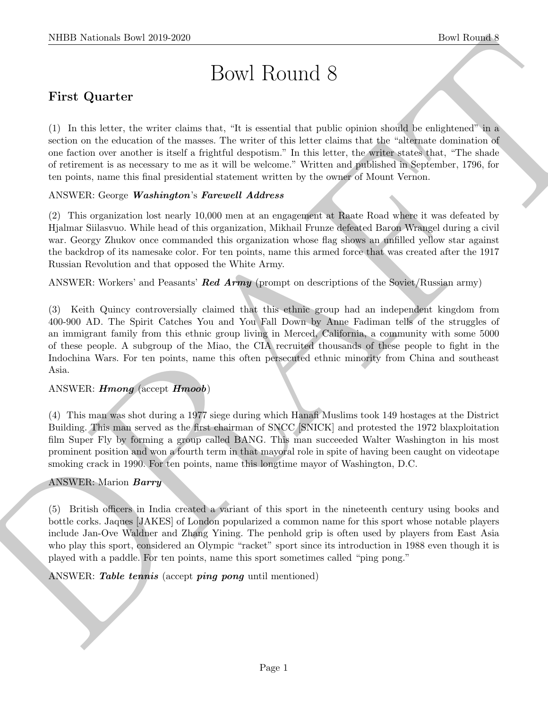# Bowl Round 8

# First Quarter

(1) In this letter, the writer claims that, "It is essential that public opinion should be enlightened" in a section on the education of the masses. The writer of this letter claims that the "alternate domination of one faction over another is itself a frightful despotism." In this letter, the writer states that, "The shade of retirement is as necessary to me as it will be welcome." Written and published in September, 1796, for ten points, name this final presidential statement written by the owner of Mount Vernon.

## ANSWER: George Washington's Farewell Address

(2) This organization lost nearly 10,000 men at an engagement at Raate Road where it was defeated by Hjalmar Siilasvuo. While head of this organization, Mikhail Frunze defeated Baron Wrangel during a civil war. Georgy Zhukov once commanded this organization whose flag shows an unfilled yellow star against the backdrop of its namesake color. For ten points, name this armed force that was created after the 1917 Russian Revolution and that opposed the White Army.

ANSWER: Workers' and Peasants' **Red Army** (prompt on descriptions of the Soviet/Russian army)

NIBB Noticeals how 2019-2020<br>
Bowl Round 8<br>
First Quarter<br>
(1) In the learner, the waves delay then, the is convenil that public epison double be religioned in the<br>scalar on the whenhold the measure learner of the bias in (3) Keith Quincy controversially claimed that this ethnic group had an independent kingdom from 400-900 AD. The Spirit Catches You and You Fall Down by Anne Fadiman tells of the struggles of an immigrant family from this ethnic group living in Merced, California, a community with some 5000 of these people. A subgroup of the Miao, the CIA recruited thousands of these people to fight in the Indochina Wars. For ten points, name this often persecuted ethnic minority from China and southeast Asia.

# ANSWER: Hmong (accept Hmoob)

(4) This man was shot during a 1977 siege during which Hanafi Muslims took 149 hostages at the District Building. This man served as the first chairman of SNCC [SNICK] and protested the 1972 blaxploitation film Super Fly by forming a group called BANG. This man succeeded Walter Washington in his most prominent position and won a fourth term in that mayoral role in spite of having been caught on videotape smoking crack in 1990. For ten points, name this longtime mayor of Washington, D.C.

#### ANSWER: Marion Barry

(5) British officers in India created a variant of this sport in the nineteenth century using books and bottle corks. Jaques [JAKES] of London popularized a common name for this sport whose notable players include Jan-Ove Waldner and Zhang Yining. The penhold grip is often used by players from East Asia who play this sport, considered an Olympic "racket" sport since its introduction in 1988 even though it is played with a paddle. For ten points, name this sport sometimes called "ping pong."

ANSWER: Table tennis (accept ping pong until mentioned)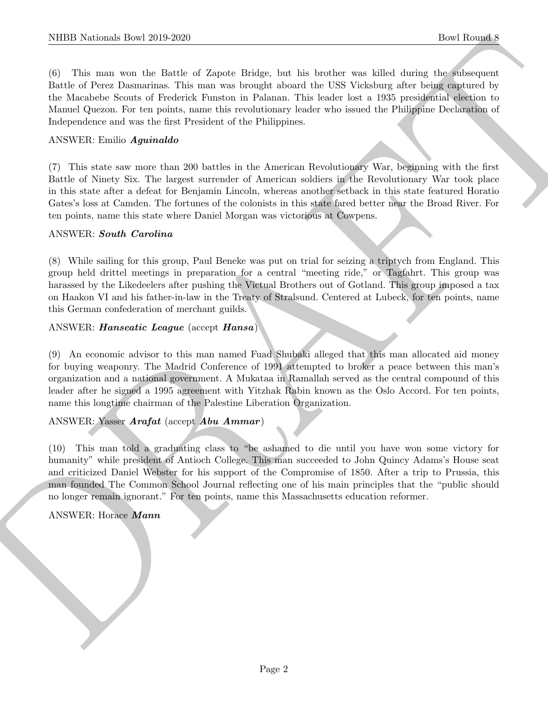NIBB Noticeals how 2019-2020.<br>
The Rounds How Rooms is below a simple about the King Schule of the Barris and the Schule of the simple state of the simple state of the simple state of the simple state of the simple state (6) This man won the Battle of Zapote Bridge, but his brother was killed during the subsequent Battle of Perez Dasmarinas. This man was brought aboard the USS Vicksburg after being captured by the Macabebe Scouts of Frederick Funston in Palanan. This leader lost a 1935 presidential election to Manuel Quezon. For ten points, name this revolutionary leader who issued the Philippine Declaration of Independence and was the first President of the Philippines.

#### ANSWER: Emilio Aguinaldo

(7) This state saw more than 200 battles in the American Revolutionary War, beginning with the first Battle of Ninety Six. The largest surrender of American soldiers in the Revolutionary War took place in this state after a defeat for Benjamin Lincoln, whereas another setback in this state featured Horatio Gates's loss at Camden. The fortunes of the colonists in this state fared better near the Broad River. For ten points, name this state where Daniel Morgan was victorious at Cowpens.

#### ANSWER: South Carolina

(8) While sailing for this group, Paul Beneke was put on trial for seizing a triptych from England. This group held drittel meetings in preparation for a central "meeting ride," or Tagfahrt. This group was harassed by the Likedeelers after pushing the Victual Brothers out of Gotland. This group imposed a tax on Haakon VI and his father-in-law in the Treaty of Stralsund. Centered at Lubeck, for ten points, name this German confederation of merchant guilds.

#### ANSWER: Hanseatic League (accept Hansa)

(9) An economic advisor to this man named Fuad Shubaki alleged that this man allocated aid money for buying weaponry. The Madrid Conference of 1991 attempted to broker a peace between this man's organization and a national government. A Mukataa in Ramallah served as the central compound of this leader after he signed a 1995 agreement with Yitzhak Rabin known as the Oslo Accord. For ten points, name this longtime chairman of the Palestine Liberation Organization.

#### ANSWER: Yasser Arafat (accept Abu Ammar)

(10) This man told a graduating class to "be ashamed to die until you have won some victory for humanity" while president of Antioch College. This man succeeded to John Quincy Adams's House seat and criticized Daniel Webster for his support of the Compromise of 1850. After a trip to Prussia, this man founded The Common School Journal reflecting one of his main principles that the "public should no longer remain ignorant." For ten points, name this Massachusetts education reformer.

#### ANSWER: Horace Mann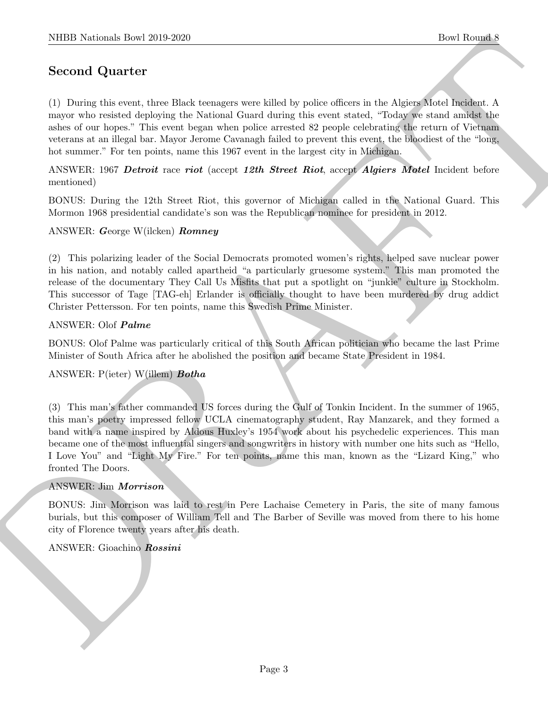# Second Quarter

(1) During this event, three Black teenagers were killed by police officers in the Algiers Motel Incident. A mayor who resisted deploying the National Guard during this event stated, "Today we stand amidst the ashes of our hopes." This event began when police arrested 82 people celebrating the return of Vietnam veterans at an illegal bar. Mayor Jerome Cavanagh failed to prevent this event, the bloodiest of the "long, hot summer." For ten points, name this 1967 event in the largest city in Michigan.

ANSWER: 1967 Detroit race riot (accept 12th Street Riot, accept Algiers Motel Incident before mentioned)

BONUS: During the 12th Street Riot, this governor of Michigan called in the National Guard. This Mormon 1968 presidential candidate's son was the Republican nominee for president in 2012.

#### ANSWER: George W(ilcken) Romney

(2) This polarizing leader of the Social Democrats promoted women's rights, helped save nuclear power in his nation, and notably called apartheid "a particularly gruesome system." This man promoted the release of the documentary They Call Us Misfits that put a spotlight on "junkie" culture in Stockholm. This successor of Tage [TAG-eh] Erlander is officially thought to have been murdered by drug addict Christer Pettersson. For ten points, name this Swedish Prime Minister.

#### ANSWER: Olof Palme

BONUS: Olof Palme was particularly critical of this South African politician who became the last Prime Minister of South Africa after he abolished the position and became State President in 1984.

#### ANSWER: P(ieter) W(illem) Botha

NIBB Noticeals how 2019-2020<br>
Second Quarter (a) the Romal Research integrates were killed by police of<br>these in the Algerisation density of the School of the School of the<br>space of the December of the School of the Schoo (3) This man's father commanded US forces during the Gulf of Tonkin Incident. In the summer of 1965, this man's poetry impressed fellow UCLA cinematography student, Ray Manzarek, and they formed a band with a name inspired by Aldous Huxley's 1954 work about his psychedelic experiences. This man became one of the most influential singers and songwriters in history with number one hits such as "Hello, I Love You" and "Light My Fire." For ten points, name this man, known as the "Lizard King," who fronted The Doors.

#### ANSWER: Jim Morrison

BONUS: Jim Morrison was laid to rest in Pere Lachaise Cemetery in Paris, the site of many famous burials, but this composer of William Tell and The Barber of Seville was moved from there to his home city of Florence twenty years after his death.

#### ANSWER: Gioachino Rossini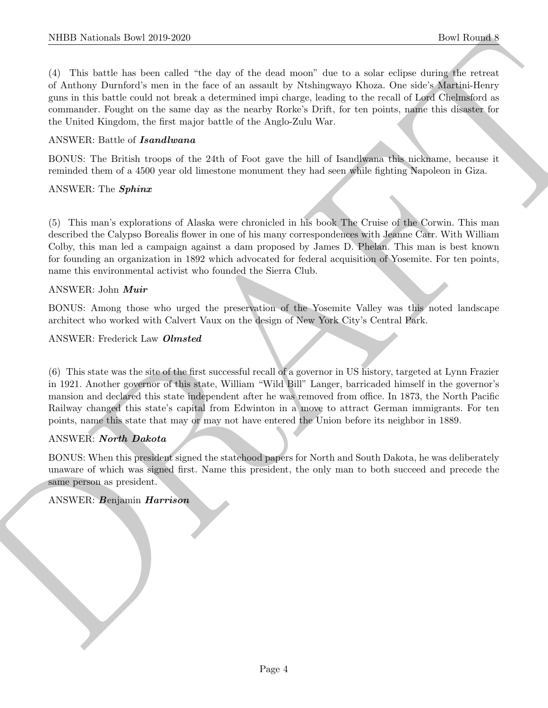NIBB Noticeals how 2019-2020<br>
(C) This back has constrained the case of the deal trend. The two scalar constraints of the constraints of the state of the state of the state of the state of the state of the state of the st (4) This battle has been called "the day of the dead moon" due to a solar eclipse during the retreat of Anthony Durnford's men in the face of an assault by Ntshingwayo Khoza. One side's Martini-Henry guns in this battle could not break a determined impi charge, leading to the recall of Lord Chelmsford as commander. Fought on the same day as the nearby Rorke's Drift, for ten points, name this disaster for the United Kingdom, the first major battle of the Anglo-Zulu War.

#### ANSWER: Battle of Isandlwana

BONUS: The British troops of the 24th of Foot gave the hill of Isandlwana this nickname, because it reminded them of a 4500 year old limestone monument they had seen while fighting Napoleon in Giza.

#### ANSWER: The Sphinx

(5) This man's explorations of Alaska were chronicled in his book The Cruise of the Corwin. This man described the Calypso Borealis flower in one of his many correspondences with Jeanne Carr. With William Colby, this man led a campaign against a dam proposed by James D. Phelan. This man is best known for founding an organization in 1892 which advocated for federal acquisition of Yosemite. For ten points, name this environmental activist who founded the Sierra Club.

#### ANSWER: John Muir

BONUS: Among those who urged the preservation of the Yosemite Valley was this noted landscape architect who worked with Calvert Vaux on the design of New York City's Central Park.

#### ANSWER: Frederick Law Olmsted

(6) This state was the site of the first successful recall of a governor in US history, targeted at Lynn Frazier in 1921. Another governor of this state, William "Wild Bill" Langer, barricaded himself in the governor's mansion and declared this state independent after he was removed from office. In 1873, the North Pacific Railway changed this state's capital from Edwinton in a move to attract German immigrants. For ten points, name this state that may or may not have entered the Union before its neighbor in 1889.

#### ANSWER: North Dakota

BONUS: When this president signed the statehood papers for North and South Dakota, he was deliberately unaware of which was signed first. Name this president, the only man to both succeed and precede the same person as president.

#### ANSWER: Benjamin Harrison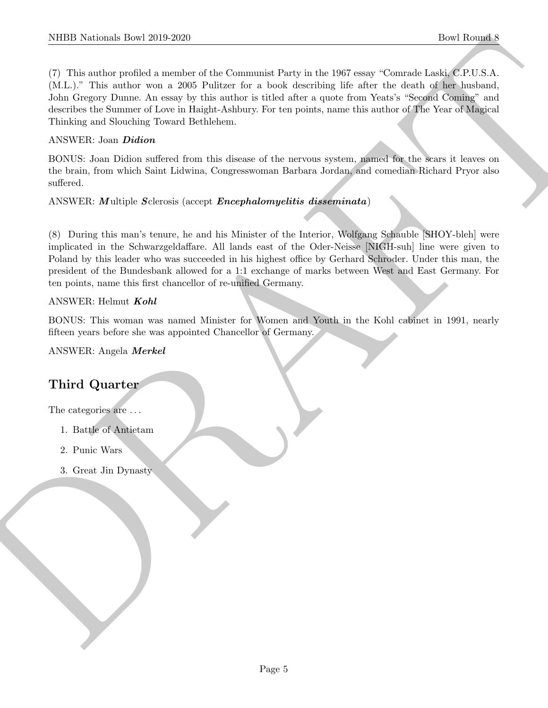NIBER Normals Insert 2019-2020<br>
The Monstein and Source of the Commutes Pack in the 1997 was "Contraded of the Toronto AC (V) and the state of the Toronto C (V) is A<br>
CM-1, "The artist model is a way or this entire for a (7) This author profiled a member of the Communist Party in the 1967 essay "Comrade Laski, C.P.U.S.A. (M.L.)." This author won a 2005 Pulitzer for a book describing life after the death of her husband, John Gregory Dunne. An essay by this author is titled after a quote from Yeats's "Second Coming" and describes the Summer of Love in Haight-Ashbury. For ten points, name this author of The Year of Magical Thinking and Slouching Toward Bethlehem.

# ANSWER: Joan Didion

BONUS: Joan Didion suffered from this disease of the nervous system, named for the scars it leaves on the brain, from which Saint Lidwina, Congresswoman Barbara Jordan, and comedian Richard Pryor also suffered.

ANSWER: Multiple Sclerosis (accept Encephalomyelitis disseminata)

(8) During this man's tenure, he and his Minister of the Interior, Wolfgang Schauble [SHOY-bleh] were implicated in the Schwarzgeldaffare. All lands east of the Oder-Neisse [NIGH-suh] line were given to Poland by this leader who was succeeded in his highest office by Gerhard Schroder. Under this man, the president of the Bundesbank allowed for a 1:1 exchange of marks between West and East Germany. For ten points, name this first chancellor of re-unified Germany.

#### ANSWER: Helmut Kohl

BONUS: This woman was named Minister for Women and Youth in the Kohl cabinet in 1991, nearly fifteen years before she was appointed Chancellor of Germany.

ANSWER: Angela Merkel

# Third Quarter

The categories are  $\dots$ 

- 1. Battle of Antietam
- 2. Punic Wars
- 3. Great Jin Dynasty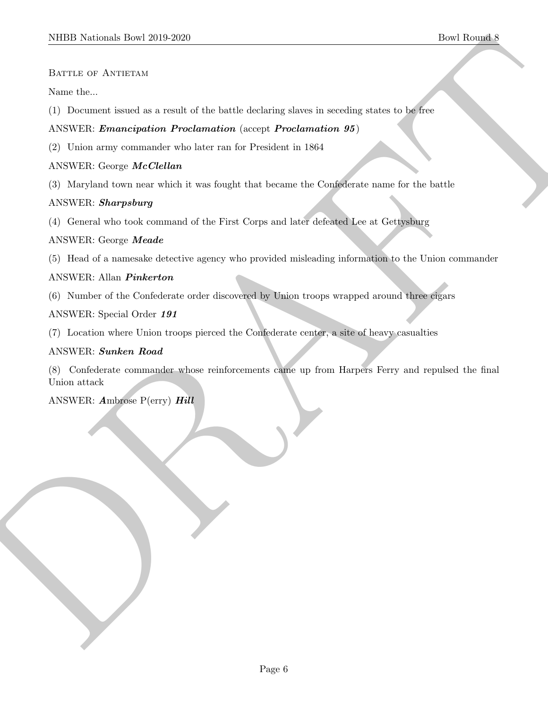BATTLE OF ANTIETAM

Name the...

(1) Document issued as a result of the battle declaring slaves in seceding states to be free

#### ANSWER: Emancipation Proclamation (accept Proclamation 95)

(2) Union army commander who later ran for President in 1864

#### ANSWER: George McClellan

(3) Maryland town near which it was fought that became the Confederate name for the battle

#### ANSWER: Sharpsburg

(4) General who took command of the First Corps and later defeated Lee at Gettysburg

#### ANSWER: George Meade

(5) Head of a namesake detective agency who provided misleading information to the Union commander

## ANSWER: Allan Pinkerton

(6) Number of the Confederate order discovered by Union troops wrapped around three cigars

#### ANSWER: Special Order 191

(7) Location where Union troops pierced the Confederate center, a site of heavy casualties

#### ANSWER: Sunken Road

NIEED Notionals There 2019 2020<br>
Bown the company of Assuming a result of the bandle declining above in manding at the total Roughland<br>
(1) Decrease tensors are a fact that decline the projection and the projection of the (8) Confederate commander whose reinforcements came up from Harpers Ferry and repulsed the final Union attack

ANSWER: Ambrose P(erry) Hill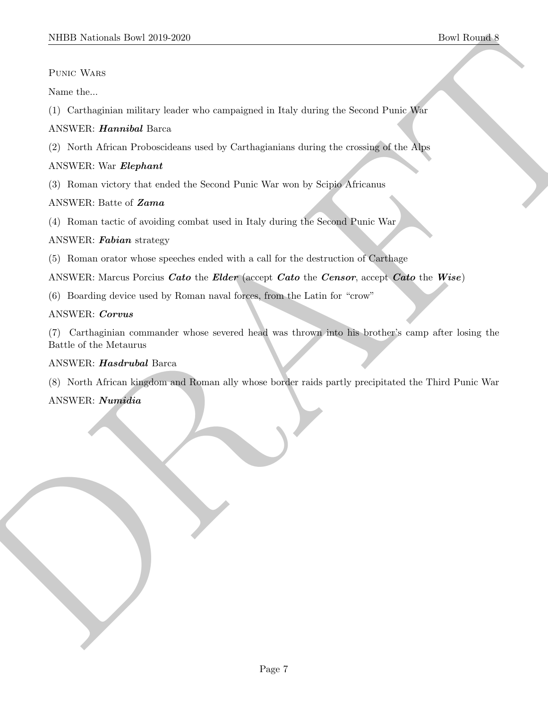Punic Wars

Name the...

(1) Carthaginian military leader who campaigned in Italy during the Second Punic War

# ANSWER: Hannibal Barca

(2) North African Proboscideans used by Carthagianians during the crossing of the Alps

# ANSWER: War Elephant

(3) Roman victory that ended the Second Punic War won by Scipio Africanus

# ANSWER: Batte of Zama

(4) Roman tactic of avoiding combat used in Italy during the Second Punic War

## ANSWER: Fabian strategy

(5) Roman orator whose speeches ended with a call for the destruction of Carthage

ANSWER: Marcus Porcius *Cato* the *Elder* (accept *Cato* the *Censor*, accept *Cato* the *Wise*)

(6) Boarding device used by Roman naval forces, from the Latin for "crow"

## ANSWER: Corvus

MIDD Notional: Dow 2019-2020<br>
Provide Rounds<br>
Provide Note that<br>
Note that a contribution with the problem who companigment in Ency during the Second Proto Rich<br>
ANSWER: When Maybourd Reserved Ency to complement the proper (7) Carthaginian commander whose severed head was thrown into his brother's camp after losing the Battle of the Metaurus

# ANSWER: Hasdrubal Barca

(8) North African kingdom and Roman ally whose border raids partly precipitated the Third Punic War

# ANSWER: Numidia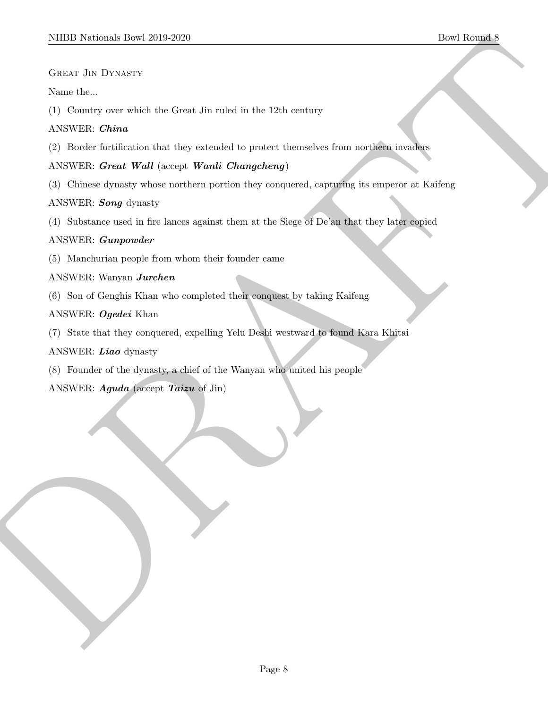Great Jin Dynasty

#### Name the...

(1) Country over which the Great Jin ruled in the 12th century

# ANSWER: China

(2) Border fortification that they extended to protect themselves from northern invaders

#### ANSWER: Great Wall (accept Wanli Changcheng)

MIDD Notional: Dow 2019-2020<br>
Causer do Division<br>
Causer do Division Come din relation in the 12th contempt<br>
ANSWER: Chender Wall (see<br>
4.2) Excels conditions that they cannot Compute themselves from an additional<br>
CF Divi (3) Chinese dynasty whose northern portion they conquered, capturing its emperor at Kaifeng

## ANSWER: Song dynasty

(4) Substance used in fire lances against them at the Siege of De'an that they later copied

## ANSWER: Gunpowder

(5) Manchurian people from whom their founder came

# ANSWER: Wanyan Jurchen

(6) Son of Genghis Khan who completed their conquest by taking Kaifeng

## ANSWER: Ogedei Khan

(7) State that they conquered, expelling Yelu Deshi westward to found Kara Khitai

# ANSWER: Liao dynasty

(8) Founder of the dynasty, a chief of the Wanyan who united his people

ANSWER: Aguda (accept Taizu of Jin)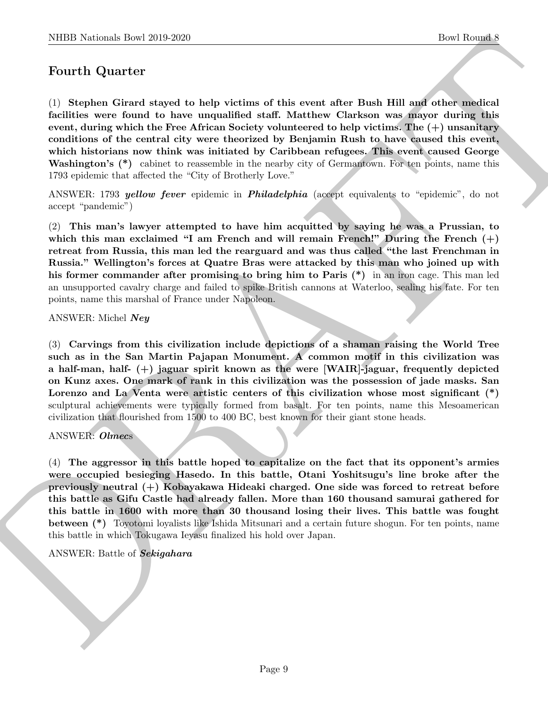# Fourth Quarter

(1) Stephen Girard stayed to help victims of this event after Bush Hill and other medical facilities were found to have unqualified staff. Matthew Clarkson was mayor during this event, during which the Free African Society volunteered to help victims. The (+) unsanitary conditions of the central city were theorized by Benjamin Rush to have caused this event, which historians now think was initiated by Caribbean refugees. This event caused George Washington's (\*) cabinet to reassemble in the nearby city of Germantown. For ten points, name this 1793 epidemic that affected the "City of Brotherly Love."

ANSWER: 1793 *yellow fever* epidemic in *Philadelphia* (accept equivalents to "epidemic", do not accept "pandemic")

(2) This man's lawyer attempted to have him acquitted by saying he was a Prussian, to which this man exclaimed "I am French and will remain French!" During the French  $(+)$ retreat from Russia, this man led the rearguard and was thus called "the last Frenchman in Russia." Wellington's forces at Quatre Bras were attacked by this man who joined up with his former commander after promising to bring him to Paris (\*) in an iron cage. This man led an unsupported cavalry charge and failed to spike British cannons at Waterloo, sealing his fate. For ten points, name this marshal of France under Napoleon.

ANSWER: Michel Ney

NIBB Noticeal- how 20:0 2020<br>
Doel Boundal How 20:0 2020<br>
Doel Boundal How 20:0 2020<br>
Northern depends on the probability of this event after Break Hill and other ends<br>Into the Second Action Section Section was many deriv (3) Carvings from this civilization include depictions of a shaman raising the World Tree such as in the San Martin Pajapan Monument. A common motif in this civilization was a half-man, half-  $(+)$  jaguar spirit known as the were [WAIR]-jaguar, frequently depicted on Kunz axes. One mark of rank in this civilization was the possession of jade masks. San Lorenzo and La Venta were artistic centers of this civilization whose most significant (\*) sculptural achievements were typically formed from basalt. For ten points, name this Mesoamerican civilization that flourished from 1500 to 400 BC, best known for their giant stone heads.

#### ANSWER: Olmecs

(4) The aggressor in this battle hoped to capitalize on the fact that its opponent's armies were occupied besieging Hasedo. In this battle, Otani Yoshitsugu's line broke after the previously neutral (+) Kobayakawa Hideaki charged. One side was forced to retreat before this battle as Gifu Castle had already fallen. More than 160 thousand samurai gathered for this battle in 1600 with more than 30 thousand losing their lives. This battle was fought between (\*) Toyotomi loyalists like Ishida Mitsunari and a certain future shogun. For ten points, name this battle in which Tokugawa Ieyasu finalized his hold over Japan.

#### ANSWER: Battle of Sekigahara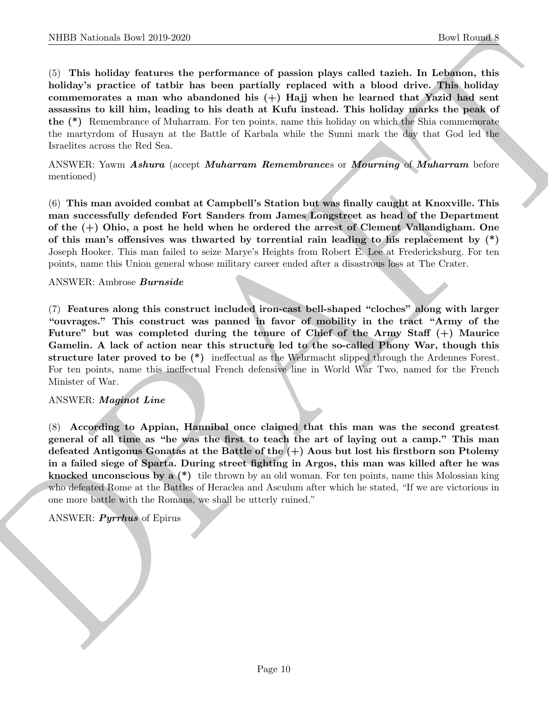NIBB Noticeals how 2019-2020.<br>
The Rounds how 10 performance of passion plays called daries. In Lebenson, this called by the Bolton Holey Specifics of orbit hot how non-ancientative of the bolton in Lebenson, this mean wa (5) This holiday features the performance of passion plays called tazieh. In Lebanon, this holiday's practice of tatbir has been partially replaced with a blood drive. This holiday commemorates a man who abandoned his  $(+)$  Hajj when he learned that Yazid had sent assassins to kill him, leading to his death at Kufu instead. This holiday marks the peak of the (\*) Remembrance of Muharram. For ten points, name this holiday on which the Shia commemorate the martyrdom of Husayn at the Battle of Karbala while the Sunni mark the day that God led the Israelites across the Red Sea.

ANSWER: Yawm Ashura (accept Muharram Remembrances or Mourning of Muharram before mentioned)

(6) This man avoided combat at Campbell's Station but was finally caught at Knoxville. This man successfully defended Fort Sanders from James Longstreet as head of the Department of the (+) Ohio, a post he held when he ordered the arrest of Clement Vallandigham. One of this man's offensives was thwarted by torrential rain leading to his replacement by (\*) Joseph Hooker. This man failed to seize Marye's Heights from Robert E. Lee at Fredericksburg. For ten points, name this Union general whose military career ended after a disastrous loss at The Crater.

#### ANSWER: Ambrose Burnside

(7) Features along this construct included iron-cast bell-shaped "cloches" along with larger "ouvrages." This construct was panned in favor of mobility in the tract "Army of the Future" but was completed during the tenure of Chief of the Army Staff  $(+)$  Maurice Gamelin. A lack of action near this structure led to the so-called Phony War, though this structure later proved to be (\*) ineffectual as the Wehrmacht slipped through the Ardennes Forest. For ten points, name this ineffectual French defensive line in World War Two, named for the French Minister of War.

#### ANSWER: Maginot Line

(8) According to Appian, Hannibal once claimed that this man was the second greatest general of all time as "he was the first to teach the art of laying out a camp." This man defeated Antigonus Gonatas at the Battle of the (+) Aous but lost his firstborn son Ptolemy in a failed siege of Sparta. During street fighting in Argos, this man was killed after he was knocked unconscious by a (\*) tile thrown by an old woman. For ten points, name this Molossian king who defeated Rome at the Battles of Heraclea and Asculum after which he stated, "If we are victorious in one more battle with the Romans, we shall be utterly ruined."

#### ANSWER: Pyrrhus of Epirus